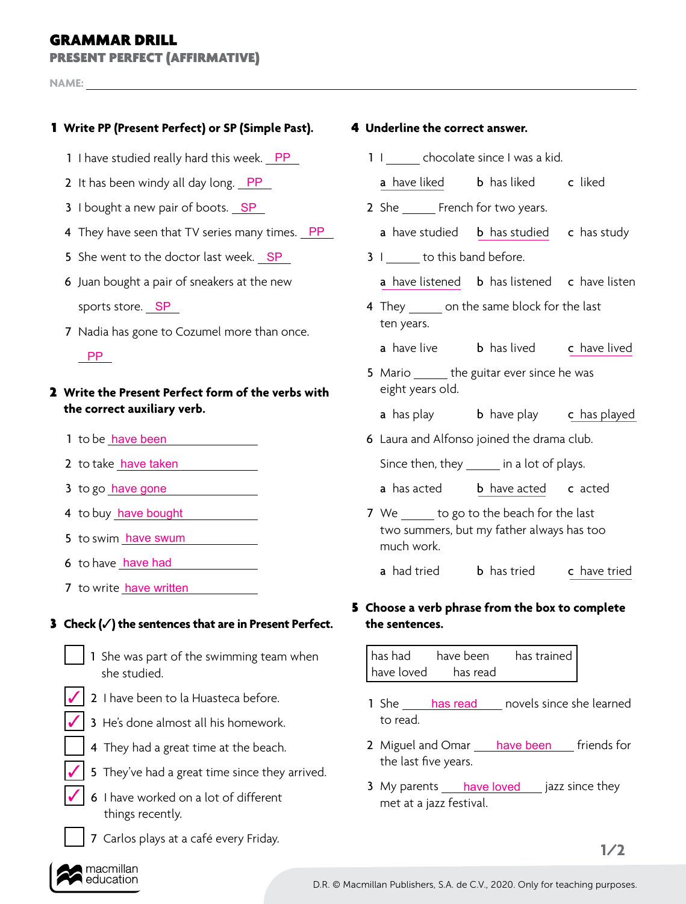## GRAMMAR DRILL

PRESENT PERFECT (AFFIRMATIVE)

**NAME:** 

### 1 **Write PP (Present Perfect) or SP (Simple Past).** 4 **Underline the correct answer.**

- 1 I have studied really hard this week. PP
- 2 It has been windy all day long. PP
- 3 I bought a new pair of boots. SP
- 4 They have seen that TV series many times. PP
- 5 She went to the doctor last week. SP
- 6 Juan bought a pair of sneakers at the new

sports store. SP

7 Nadia has gone to Cozumel more than once.

### PP

### 2 **Write the Present Perfect form of the verbs with the correct auxiliary verb.**

- 1 to be have been
- 2 to take have taken
- 3 to go have gone
- 4 to buy have bought
- 5 to swim have swum
- 6 to have have had
- 7 to write have written

### 3 **Check (**✓**) the sentences that are in Present Perfect. the sentences.**

- 1 She was part of the swimming team when she studied.
- 
- <u>√</u> 2 I have been to la Huasteca before. The same of the set of the set of the set of the set of the set of the set of the set of the set of the set of the set of the set of the set of the set of the set of the set of the
- 3 He's done almost all his homework. ✓
	- 4 They had a great time at the beach.
- 5 They've had a great time since they arrived. ✓
- 6 I have worked on a lot of different things recently. ✓
	- 7 Carlos plays at a café every Friday.

- 1 | chocolate since I was a kid.
- **a** have liked **b** has liked **c** liked
- 2 She French for two years.
- a have studied b has studied c has study
- 3 I to this band before.

a have listened **b** has listened **c** have listen

- 4 They on the same block for the last ten years.
	- **a** have live **b** has lived **c** have lived
- 5 Mario the guitar ever since he was eight years old.
	- **a** has play b have play c has played
- 6 Laura and Alfonso joined the drama club.

Since then, they in a lot of plays.

- **a** has acted **b** have acted **c** acted
- 7 We to go to the beach for the last two summers, but my father always has too much work.
	- **a** had tried **b** has tried **c** have tried

# 5 **Choose a verb phrase from the box to complete**

has had have been has trained have loved has read

- 1 She has read novels since she learned to read.
- 2 Miguel and Omar *have been* friends for the last five years.
- 3 My parents have loved jazz since they met at a jazz festival.